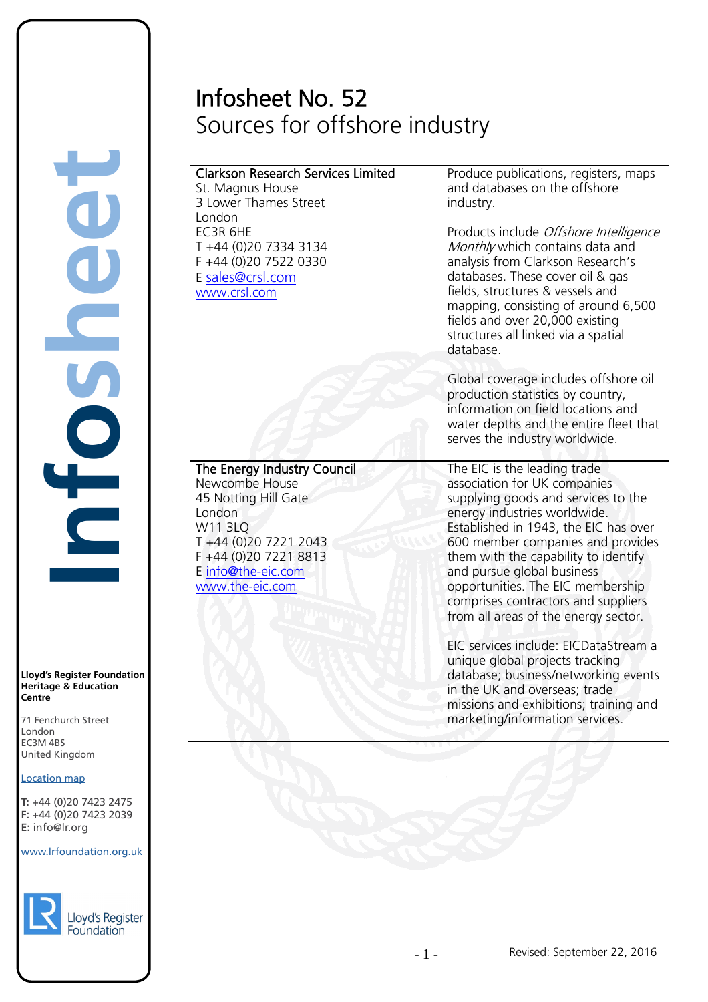# Infosheet No. 52 Sources for offshore industry

# Clarkson Research Services Limited

St. Magnus House 3 Lower Thames Street London EC3R 6HE T +44 (0)20 7334 3134 F +44 (0)20 7522 0330 E [sales@crsl.com](mailto:sales@crsl.com) [www.crsl.com](http://www.crsl.com/) 

[The Energy Industry Council](http://www.the-eic.com/WorldwideOffices/UnitedKingdom/London/index.aspx) 

Produce publications, registers, maps and databases on the offshore industry.

Products include Offshore Intelligence Monthly which contains data and analysis from Clarkson Research's databases. These cover oil & gas fields, structures & vessels and mapping, consisting of around 6,500 fields and over 20,000 existing structures all linked via a spatial database.

Global coverage includes offshore oil production statistics by country, information on field locations and water depths and the entire fleet that serves the industry worldwide.

The EIC is the leading trade association for UK companies supplying goods and services to the energy industries worldwide. Established in 1943, the EIC has over 600 member companies and provides them with the capability to identify and pursue global business opportunities. The EIC membership comprises contractors and suppliers from all areas of the energy sector.

EIC services include: EICDataStream a unique global projects tracking database; business/networking events in the UK and overseas; trade missions and exhibitions; training and marketing/information services.

45 Notting Hill Gate London W11 3LQ T +44 (0)20 7221 2043 F +44 (0)20 7221 8813

[www.the-eic.com](http://www.the-eic.com/) 

E [info@the-eic.com](mailto:info@the-eic.com) 

Newcombe House

**Lloyd's Register Foundation Heritage & Education Centre**

**Infosheet**

71 Fenchurch Street London Information Services EC3M 4BS United Kingdom EC3M 4BS

### Location map

T: +44 (0)20 7423 2475 **F:** +44 (0)20 7423 2039 Fax: +44 (0)20 7423 2039 **E:** info@lr.org Email: histinfo@lr.org rd's Register Foundat<br>
itage & Education<br>
tre<br>
Eenchurch Street<br>
don<br>
M 4BS<br>
ted Kingdom<br>
ation map<br>
44 (0)20 7423 2475<br>
44 (0)20 7423 2039<br>
nfo@lr.org

www.lrfoundation.org.uk

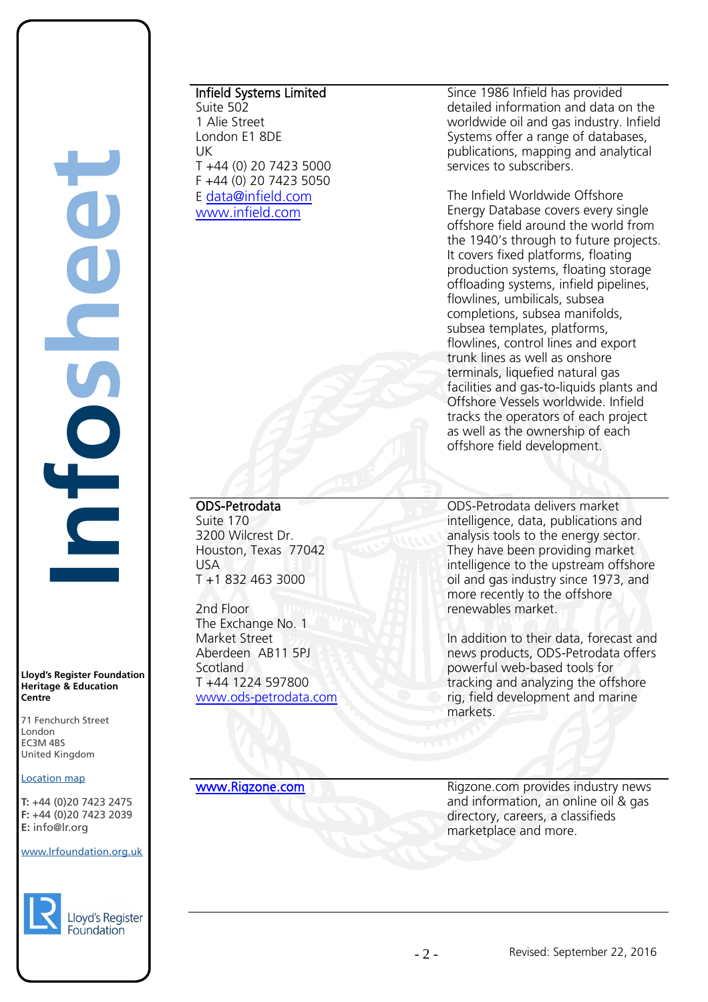**Infosheet** rd's Register Foundat<br>
itage & Education<br>
tre<br>
Eenchurch Street<br>
don<br>
M 4BS<br>
ted Kingdom<br>
ation map<br>
44 (0)20 7423 2475<br>
44 (0)20 7423 2039<br>
nfo@lr.org CHOS

**Lloyd's Register Foundation Heritage & Education Centre**

71 Fenchurch Street London Information Services EC3M 4BS United Kingdom

### Location map

T: +44 (0)20 7423 2475 **F:** +44 (0)20 7423 2039 Fax: +44 (0)20 7423 2039 **E:** info@lr.org  $F \rightarrow (0/20, 1 + 2)$ 

EC3M 4BS

### www.lrfoundation.org.uk



### Lloyd's Register Foundation

# Infield Systems Limited

Suite 502 1 Alie Street London E1 8DE UK T +44 (0) 20 7423 5000 F +44 (0) 20 7423 5050 E [data@infield.com](mailto:data@infield.com) [www.infield.com](http://www.infield.com/) 

Since 1986 Infield has provided detailed information and data on the worldwide oil and gas industry. Infield Systems offer a range of databases, publications, [mapping](http://www.infield.com/offshore_oil_and_gas_gis_mapping.htm) and analytical services to subscribers.

The Infield Worldwide Offshore Energy Database covers every single offshore field around the world from the 1940's through to future projects. It covers fixed platforms, floating production systems, floating storage offloading systems, infield pipelines, flowlines, umbilicals, subsea completions, subsea manifolds, subsea templates, platforms, flowlines, control lines and export trunk lines as well as onshore terminals, liquefied natural gas facilities and gas-to-liquids plants and Offshore Vessels worldwide. Infield tracks the operators of each project as well as the ownership of each offshore field development.

# ODS-Petrodata

Suite 170 3200 Wilcrest Dr. Houston, Texas 77042 USA T +1 832 463 3000

2nd Floor The Exchange No. 1 Market Street Aberdeen AB11 5PJ Scotland T +44 1224 597800 [www.ods-petrodata.com](http://www.ods-petrodata.com/) 

ODS-Petrodata delivers market intelligence, data, publications and analysis tools to the energy sector. They have been providing market intelligence to the upstream offshore oil and gas industry since 1973, and more recently to the offshore renewables market.

In addition to their data, forecast and news products, ODS-Petrodata offers powerful web-based tools for tracking and analyzing the offshore rig, field development and marine markets.

[www.Rigzone.com](http://www.rigzone.com/) **Rigzone.com** Rigzone.com provides industry news and information, an online oil & gas directory, careers, a classifieds marketplace and more.